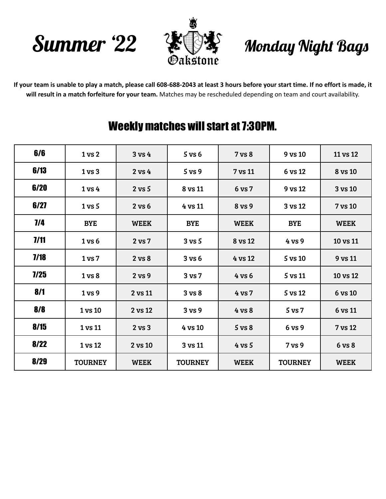



## Monday Night Bags

If your team is unable to play a match, please call 608-688-2043 at least 3 hours before your start time. If no effort is made, it **will result in a match forfeiture for your team.** Matches may be rescheduled depending on team and court availability.

## Weekly matches will start at 7:30PM.

| 6/6  | 1 <sub>vs</sub> 2 | 3 v s 4     | $5$ vs $6$        | 7 vs 8      | 9 vs 10        | 11 vs 12    |
|------|-------------------|-------------|-------------------|-------------|----------------|-------------|
| 6/13 | 1 <sub>vs</sub> 3 | $2$ vs $4$  | $5$ vs $9$        | 7 vs 11     | 6 vs 12        | 8 vs 10     |
| 6/20 | 1 <sub>vs</sub> 4 | $2$ vs $5$  | 8 vs 11           | 6 vs 7      | 9 vs 12        | 3 vs 10     |
| 6/27 | $1$ vs $5$        | 2 vs 6      | 4 vs 11           | 8 vs 9      | 3 vs 12        | 7 vs 10     |
| 1/4  | <b>BYE</b>        | <b>WEEK</b> | <b>BYE</b>        | <b>WEEK</b> | <b>BYE</b>     | <b>WEEK</b> |
| 7/11 | 1 <sub>vs</sub> 6 | 2 vs 7      | $3 \text{ vs } 5$ | 8 vs 12     | 4 vs 9         | 10 vs 11    |
| 7/18 | 1 <sub>vs</sub> 7 | 2 vs 8      | 3 v s 6           | 4 vs 12     | 5 vs 10        | 9 vs 11     |
| 7/25 | 1 <sub>vs</sub> 8 | 2 vs 9      | 3 vs 7            | 4 vs 6      | 5 vs 11        | 10 vs 12    |
| 8/1  | 1 vs 9            | 2 vs 11     | 3 vs 8            | 4 vs 7      | 5 vs 12        | 6 vs 10     |
| 8/8  | 1 vs 10           | 2 vs 12     | 3 vs 9            | 4 vs 8      | $5$ vs $7$     | 6 vs 11     |
| 8/15 | 1 vs 11           | $2$ vs $3$  | 4 vs 10           | $5$ vs $8$  | 6 vs 9         | 7 vs 12     |
| 8/22 | 1 vs 12           | 2 vs 10     | 3 vs 11           | $4$ vs 5    | 7 vs 9         | 6 vs 8      |
| 8/29 | <b>TOURNEY</b>    | <b>WEEK</b> | <b>TOURNEY</b>    | <b>WEEK</b> | <b>TOURNEY</b> | <b>WEEK</b> |